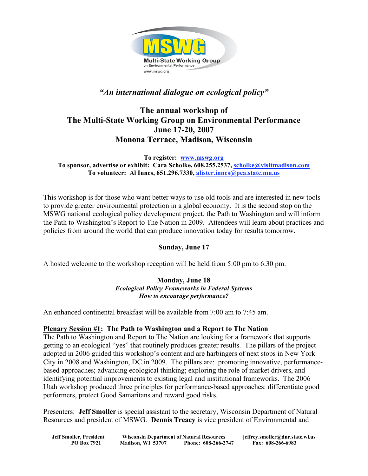

# *"An international dialogue on ecological policy"*

# **The annual workshop of The Multi-State Working Group on Environmental Performance June 17-20, 2007 Monona Terrace, Madison, Wisconsin**

**To register: www.mswg.org To sponsor, advertise or exhibit: Cara Scholke, 608.255.2537, scholke@visitmadison.com To volunteer: Al Innes, 651.296.7330, alister.innes@pca.state.mn.us**

This workshop is for those who want better ways to use old tools and are interested in new tools to provide greater environmental protection in a global economy. It is the second stop on the MSWG national ecological policy development project, the Path to Washington and will inform the Path to Washington's Report to The Nation in 2009. Attendees will learn about practices and policies from around the world that can produce innovation today for results tomorrow.

# **Sunday, June 17**

A hosted welcome to the workshop reception will be held from 5:00 pm to 6:30 pm.

#### **Monday, June 18** *Ecological Policy Frameworks in Federal Systems How to encourage performance?*

An enhanced continental breakfast will be available from 7:00 am to 7:45 am.

### **Plenary Session #1: The Path to Washington and a Report to The Nation**

The Path to Washington and Report to The Nation are looking for a framework that supports getting to an ecological "yes" that routinely produces greater results. The pillars of the project adopted in 2006 guided this workshop's content and are harbingers of next stops in New York City in 2008 and Washington, DC in 2009. The pillars are: promoting innovative, performancebased approaches; advancing ecological thinking; exploring the role of market drivers, and identifying potential improvements to existing legal and institutional frameworks. The 2006 Utah workshop produced three principles for performance-based approaches: differentiate good performers, protect Good Samaritans and reward good risks.

Presenters: **Jeff Smoller** is special assistant to the secretary, Wisconsin Department of Natural Resources and president of MSWG. **Dennis Treacy** is vice president of Environmental and

| Jeff Smoller, President | <b>Wisconsin Department of Natural Resources</b> |                     | jeffrey.smoller@dnr.state.wi.us |
|-------------------------|--------------------------------------------------|---------------------|---------------------------------|
| <b>PO Box 7921</b>      | Madison, WI 53707                                | Phone: 608-266-2747 | Fax: 608-266-6983               |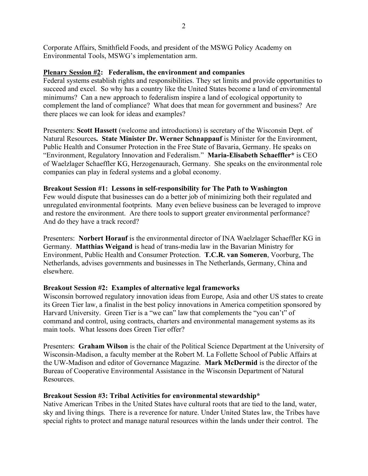Corporate Affairs, Smithfield Foods, and president of the MSWG Policy Academy on Environmental Tools, MSWG's implementation arm.

## **Plenary Session #2: Federalism, the environment and companies**

Federal systems establish rights and responsibilities. They set limits and provide opportunities to succeed and excel. So why has a country like the United States become a land of environmental minimums? Can a new approach to federalism inspire a land of ecological opportunity to complement the land of compliance? What does that mean for government and business? Are there places we can look for ideas and examples?

Presenters: **Scott Hassett** (welcome and introductions) is secretary of the Wisconsin Dept. of Natural Resources**. State Minister Dr. Werner Schnappauf** is Minister for the Environment, Public Health and Consumer Protection in the Free State of Bavaria, Germany. He speaks on "Environment, Regulatory Innovation and Federalism." **Maria-Elisabeth Schaeffler\*** is CEO of Waelzlager Schaeffler KG, Herzogenaurach, Germany. She speaks on the environmental role companies can play in federal systems and a global economy.

## **Breakout Session #1: Lessons in self-responsibility for The Path to Washington**

Few would dispute that businesses can do a better job of minimizing both their regulated and unregulated environmental footprints. Many even believe business can be leveraged to improve and restore the environment. Are there tools to support greater environmental performance? And do they have a track record?

Presenters: **Norbert Horauf** is the environmental director of INA Waelzlager Schaeffler KG in Germany. **Matthias Weigand** is head of trans-media law in the Bavarian Ministry for Environment, Public Health and Consumer Protection. **T.C.R. van Someren**, Voorburg, The Netherlands, advises governments and businesses in The Netherlands, Germany, China and elsewhere.

### **Breakout Session #2: Examples of alternative legal frameworks**

Wisconsin borrowed regulatory innovation ideas from Europe, Asia and other US states to create its Green Tier law, a finalist in the best policy innovations in America competition sponsored by Harvard University. Green Tier is a "we can" law that complements the "you can't" of command and control, using contracts, charters and environmental management systems as its main tools. What lessons does Green Tier offer?

Presenters: **Graham Wilson** is the chair of the Political Science Department at the University of Wisconsin-Madison, a faculty member at the Robert M. La Follette School of Public Affairs at the UW-Madison and editor of Governance Magazine. **Mark McDermid** is the director of the Bureau of Cooperative Environmental Assistance in the Wisconsin Department of Natural Resources.

# **Breakout Session #3: Tribal Activities for environmental stewardship\***

Native American Tribes in the United States have cultural roots that are tied to the land, water, sky and living things. There is a reverence for nature. Under United States law, the Tribes have special rights to protect and manage natural resources within the lands under their control. The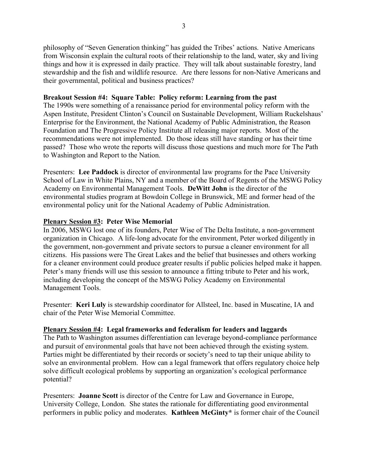philosophy of "Seven Generation thinking" has guided the Tribes' actions. Native Americans from Wisconsin explain the cultural roots of their relationship to the land, water, sky and living things and how it is expressed in daily practice. They will talk about sustainable forestry, land stewardship and the fish and wildlife resource. Are there lessons for non-Native Americans and their governmental, political and business practices?

## **Breakout Session #4: Square Table: Policy reform: Learning from the past**

The 1990s were something of a renaissance period for environmental policy reform with the Aspen Institute, President Clinton's Council on Sustainable Development, William Ruckelshaus' Enterprise for the Environment, the National Academy of Public Administration, the Reason Foundation and The Progressive Policy Institute all releasing major reports. Most of the recommendations were not implemented. Do those ideas still have standing or has their time passed? Those who wrote the reports will discuss those questions and much more for The Path to Washington and Report to the Nation.

Presenters: **Lee Paddock** is director of environmental law programs for the Pace University School of Law in White Plains, NY and a member of the Board of Regents of the MSWG Policy Academy on Environmental Management Tools. **DeWitt John** is the director of the environmental studies program at Bowdoin College in Brunswick, ME and former head of the environmental policy unit for the National Academy of Public Administration.

## **Plenary Session #3: Peter Wise Memorial**

In 2006, MSWG lost one of its founders, Peter Wise of The Delta Institute, a non-government organization in Chicago. A life-long advocate for the environment, Peter worked diligently in the government, non-government and private sectors to pursue a cleaner environment for all citizens. His passions were The Great Lakes and the belief that businesses and others working for a cleaner environment could produce greater results if public policies helped make it happen. Peter's many friends will use this session to announce a fitting tribute to Peter and his work, including developing the concept of the MSWG Policy Academy on Environmental Management Tools.

Presenter: **Keri Luly** is stewardship coordinator for Allsteel, Inc. based in Muscatine, IA and chair of the Peter Wise Memorial Committee.

# **Plenary Session #4: Legal frameworks and federalism for leaders and laggards**

The Path to Washington assumes differentiation can leverage beyond-compliance performance and pursuit of environmental goals that have not been achieved through the existing system. Parties might be differentiated by their records or society's need to tap their unique ability to solve an environmental problem. How can a legal framework that offers regulatory choice help solve difficult ecological problems by supporting an organization's ecological performance potential?

Presenters: **Joanne Scott** is director of the Centre for Law and Governance in Europe, University College, London. She states the rationale for differentiating good environmental performers in public policy and moderates. **Kathleen McGinty\*** is former chair of the Council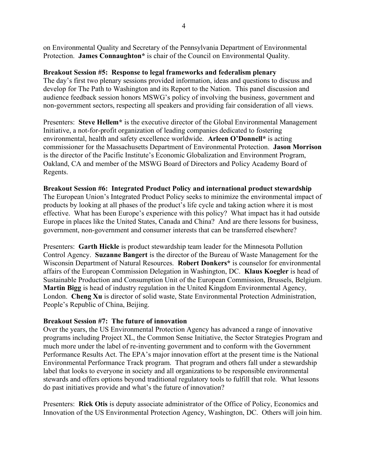on Environmental Quality and Secretary of the Pennsylvania Department of Environmental Protection. **James Connaughton\*** is chair of the Council on Environmental Quality.

## **Breakout Session #5: Response to legal frameworks and federalism plenary**

The day's first two plenary sessions provided information, ideas and questions to discuss and develop for The Path to Washington and its Report to the Nation. This panel discussion and audience feedback session honors MSWG's policy of involving the business, government and non-government sectors, respecting all speakers and providing fair consideration of all views.

Presenters: **Steve Hellem\*** is the executive director of the Global Environmental Management Initiative, a not-for-profit organization of leading companies dedicated to fostering environmental, health and safety excellence worldwide. **Arleen O'Donnell\*** is acting commissioner for the Massachusetts Department of Environmental Protection. **Jason Morrison** is the director of the Pacific Institute's Economic Globalization and Environment Program, Oakland, CA and member of the MSWG Board of Directors and Policy Academy Board of Regents.

#### **Breakout Session #6: Integrated Product Policy and international product stewardship**

The European Union's Integrated Product Policy seeks to minimize the environmental impact of products by looking at all phases of the product's life cycle and taking action where it is most effective. What has been Europe's experience with this policy? What impact has it had outside Europe in places like the United States, Canada and China? And are there lessons for business, government, non-government and consumer interests that can be transferred elsewhere?

Presenters: **Garth Hickle** is product stewardship team leader for the Minnesota Pollution Control Agency. **Suzanne Bangert** is the director of the Bureau of Waste Management for the Wisconsin Department of Natural Resources. **Robert Donkers\*** is counselor for environmental affairs of the European Commission Delegation in Washington, DC. **Klaus Koegler** is head of Sustainable Production and Consumption Unit of the European Commission, Brussels, Belgium. **Martin Bigg** is head of industry regulation in the United Kingdom Environmental Agency, London. **Cheng Xu** is director of solid waste, State Environmental Protection Administration, People's Republic of China, Beijing.

### **Breakout Session #7: The future of innovation**

Over the years, the US Environmental Protection Agency has advanced a range of innovative programs including Project XL, the Common Sense Initiative, the Sector Strategies Program and much more under the label of re-inventing government and to conform with the Government Performance Results Act. The EPA's major innovation effort at the present time is the National Environmental Performance Track program. That program and others fall under a stewardship label that looks to everyone in society and all organizations to be responsible environmental stewards and offers options beyond traditional regulatory tools to fulfill that role. What lessons do past initiatives provide and what's the future of innovation?

Presenters: **Rick Otis** is deputy associate administrator of the Office of Policy, Economics and Innovation of the US Environmental Protection Agency, Washington, DC. Others will join him.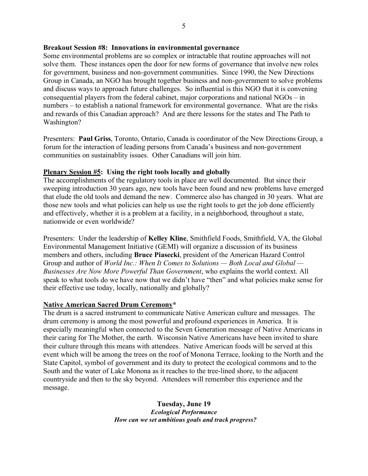#### **Breakout Session #8: Innovations in environmental governance**

Some environmental problems are so complex or intractable that routine approaches will not solve them. These instances open the door for new forms of governance that involve new roles for government, business and non-government communities. Since 1990, the New Directions Group in Canada, an NGO has brought together business and non-government to solve problems and discuss ways to approach future challenges. So influential is this NGO that it is convening consequential players from the federal cabinet, major corporations and national NGOs – in numbers – to establish a national framework for environmental governance. What are the risks and rewards of this Canadian approach? And are there lessons for the states and The Path to Washington?

Presenters: **Paul Griss**, Toronto, Ontario, Canada is coordinator of the New Directions Group, a forum for the interaction of leading persons from Canada's business and non-government communities on sustainablity issues. Other Canadians will join him.

## **Plenary Session #5: Using the right tools locally and globally**

The accomplishments of the regulatory tools in place are well documented. But since their sweeping introduction 30 years ago, new tools have been found and new problems have emerged that elude the old tools and demand the new. Commerce also has changed in 30 years. What are those new tools and what policies can help us use the right tools to get the job done efficiently and effectively, whether it is a problem at a facility, in a neighborhood, throughout a state, nationwide or even worldwide?

Presenters: Under the leadership of **Kelley Kline**, Smithfield Foods, Smithfield, VA, the Global Environmental Management Initiative (GEMI) will organize a discussion of its business members and others, including **Bruce Piasecki**, president of the American Hazard Control Group and author of *World Inc.: When It Comes to Solutions — Both Local and Global — Businesses Are Now More Powerful Than Government*, who explains the world context. All speak to what tools do we have now that we didn't have "then" and what policies make sense for their effective use today, locally, nationally and globally?

# **Native American Sacred Drum Ceremony\***

The drum is a sacred instrument to communicate Native American culture and messages. The drum ceremony is among the most powerful and profound experiences in America. It is especially meaningful when connected to the Seven Generation message of Native Americans in their caring for The Mother, the earth. Wisconsin Native Americans have been invited to share their culture through this means with attendees. Native American foods will be served at this event which will be among the trees on the roof of Monona Terrace, looking to the North and the State Capitol, symbol of government and its duty to protect the ecological commons and to the South and the water of Lake Monona as it reaches to the tree-lined shore, to the adjacent countryside and then to the sky beyond. Attendees will remember this experience and the message.

> **Tuesday, June 19** *Ecological Performance How can we set ambitious goals and track progress?*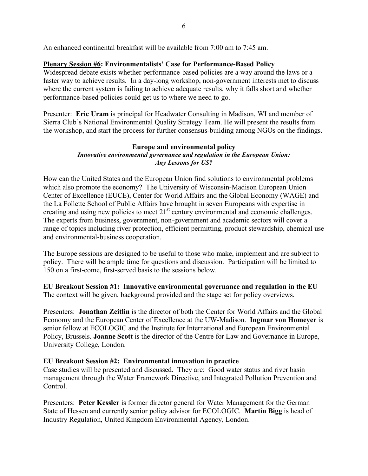An enhanced continental breakfast will be available from 7:00 am to 7:45 am.

## **Plenary Session #6: Environmentalists' Case for Performance-Based Policy**

Widespread debate exists whether performance-based policies are a way around the laws or a faster way to achieve results. In a day-long workshop, non-government interests met to discuss where the current system is failing to achieve adequate results, why it falls short and whether performance-based policies could get us to where we need to go.

Presenter: **Eric Uram** is principal for Headwater Consulting in Madison, WI and member of Sierra Club's National Environmental Quality Strategy Team. He will present the results from the workshop, and start the process for further consensus-building among NGOs on the findings.

#### **Europe and environmental policy** *Innovative environmental governance and regulation in the European Union: Any Lessons for US?*

How can the United States and the European Union find solutions to environmental problems which also promote the economy? The University of Wisconsin-Madison European Union Center of Excellence (EUCE), Center for World Affairs and the Global Economy (WAGE) and the La Follette School of Public Affairs have brought in seven Europeans with expertise in creating and using new policies to meet  $21<sup>st</sup>$  century environmental and economic challenges. The experts from business, government, non-government and academic sectors will cover a range of topics including river protection, efficient permitting, product stewardship, chemical use and environmental-business cooperation.

The Europe sessions are designed to be useful to those who make, implement and are subject to policy. There will be ample time for questions and discussion. Participation will be limited to 150 on a first-come, first-served basis to the sessions below.

**EU Breakout Session #1: Innovative environmental governance and regulation in the EU** The context will be given, background provided and the stage set for policy overviews.

Presenters: **Jonathan Zeitlin** is the director of both the Center for World Affairs and the Global Economy and the European Center of Excellence at the UW-Madison. **Ingmar von Homeyer** is senior fellow at ECOLOGIC and the Institute for International and European Environmental Policy, Brussels. **Joanne Scott** is the director of the Centre for Law and Governance in Europe, University College, London.

### **EU Breakout Session #2: Environmental innovation in practice**

Case studies will be presented and discussed. They are: Good water status and river basin management through the Water Framework Directive, and Integrated Pollution Prevention and Control.

Presenters: **Peter Kessler** is former director general for Water Management for the German State of Hessen and currently senior policy advisor for ECOLOGIC. **Martin Bigg** is head of Industry Regulation, United Kingdom Environmental Agency, London.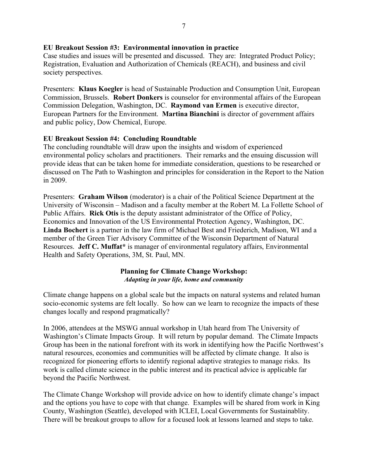## **EU Breakout Session #3: Environmental innovation in practice**

Case studies and issues will be presented and discussed. They are: Integrated Product Policy; Registration, Evaluation and Authorization of Chemicals (REACH), and business and civil society perspectives.

Presenters: **Klaus Koegler** is head of Sustainable Production and Consumption Unit, European Commission, Brussels. **Robert Donkers** is counselor for environmental affairs of the European Commission Delegation, Washington, DC. **Raymond van Ermen** is executive director, European Partners for the Environment. **Martina Bianchini** is director of government affairs and public policy, Dow Chemical, Europe.

## **EU Breakout Session #4: Concluding Roundtable**

The concluding roundtable will draw upon the insights and wisdom of experienced environmental policy scholars and practitioners. Their remarks and the ensuing discussion will provide ideas that can be taken home for immediate consideration, questions to be researched or discussed on The Path to Washington and principles for consideration in the Report to the Nation in 2009.

Presenters: **Graham Wilson** (moderator) is a chair of the Political Science Department at the University of Wisconsin – Madison and a faculty member at the Robert M. La Follette School of Public Affairs. **Rick Otis** is the deputy assistant administrator of the Office of Policy, Economics and Innovation of the US Environmental Protection Agency, Washington, DC. **Linda Bochert** is a partner in the law firm of Michael Best and Friederich, Madison, WI and a member of the Green Tier Advisory Committee of the Wisconsin Department of Natural Resources. **Jeff C. Muffat\*** is manager of environmental regulatory affairs, Environmental Health and Safety Operations, 3M, St. Paul, MN.

### **Planning for Climate Change Workshop:** *Adapting in your life, home and community*

Climate change happens on a global scale but the impacts on natural systems and related human socio-economic systems are felt locally. So how can we learn to recognize the impacts of these changes locally and respond pragmatically?

In 2006, attendees at the MSWG annual workshop in Utah heard from The University of Washington's Climate Impacts Group. It will return by popular demand. The Climate Impacts Group has been in the national forefront with its work in identifying how the Pacific Northwest's natural resources, economies and communities will be affected by climate change. It also is recognized for pioneering efforts to identify regional adaptive strategies to manage risks. Its work is called climate science in the public interest and its practical advice is applicable far beyond the Pacific Northwest.

The Climate Change Workshop will provide advice on how to identify climate change's impact and the options you have to cope with that change. Examples will be shared from work in King County, Washington (Seattle), developed with ICLEI, Local Governments for Sustainablity. There will be breakout groups to allow for a focused look at lessons learned and steps to take.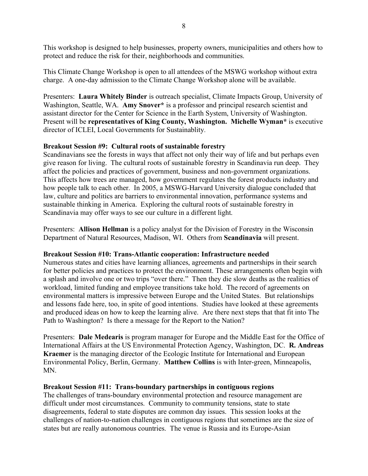This workshop is designed to help businesses, property owners, municipalities and others how to protect and reduce the risk for their, neighborhoods and communities.

This Climate Change Workshop is open to all attendees of the MSWG workshop without extra charge. A one-day admission to the Climate Change Workshop alone will be available.

Presenters: **Laura Whitely Binder** is outreach specialist, Climate Impacts Group, University of Washington, Seattle, WA. **Amy Snover\*** is a professor and principal research scientist and assistant director for the Center for Science in the Earth System, University of Washington. Present will be **representatives of King County, Washington. Michelle Wyman\*** is executive director of ICLEI, Local Governments for Sustainablity.

## **Breakout Session #9: Cultural roots of sustainable forestry**

Scandinavians see the forests in ways that affect not only their way of life and but perhaps even give reason for living. The cultural roots of sustainable forestry in Scandinavia run deep. They affect the policies and practices of government, business and non-government organizations. This affects how trees are managed, how government regulates the forest products industry and how people talk to each other. In 2005, a MSWG-Harvard University dialogue concluded that law, culture and politics are barriers to environmental innovation, performance systems and sustainable thinking in America. Exploring the cultural roots of sustainable forestry in Scandinavia may offer ways to see our culture in a different light.

Presenters: **Allison Hellman** is a policy analyst for the Division of Forestry in the Wisconsin Department of Natural Resources, Madison, WI. Others from **Scandinavia** will present.

### **Breakout Session #10: Trans-Atlantic cooperation: Infrastructure needed**

Numerous states and cities have learning alliances, agreements and partnerships in their search for better policies and practices to protect the environment. These arrangements often begin with a splash and involve one or two trips "over there." Then they die slow deaths as the realities of workload, limited funding and employee transitions take hold. The record of agreements on environmental matters is impressive between Europe and the United States. But relationships and lessons fade here, too, in spite of good intentions. Studies have looked at these agreements and produced ideas on how to keep the learning alive. Are there next steps that that fit into The Path to Washington? Is there a message for the Report to the Nation?

Presenters: **Dale Medearis** is program manager for Europe and the Middle East for the Office of International Affairs at the US Environmental Protection Agency, Washington, DC. **R. Andreas Kraemer** is the managing director of the Ecologic Institute for International and European Environmental Policy, Berlin, Germany. **Matthew Collins** is with Inter-green, Minneapolis, MN.

### **Breakout Session #11: Trans-boundary partnerships in contiguous regions**

The challenges of trans-boundary environmental protection and resource management are difficult under most circumstances. Community to community tensions, state to state disagreements, federal to state disputes are common day issues. This session looks at the challenges of nation-to-nation challenges in contiguous regions that sometimes are the size of states but are really autonomous countries. The venue is Russia and its Europe-Asian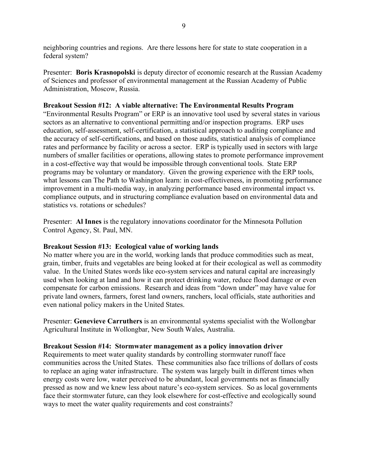neighboring countries and regions. Are there lessons here for state to state cooperation in a federal system?

Presenter: **Boris Krasnopolski** is deputy director of economic research at the Russian Academy of Sciences and professor of environmental management at the Russian Academy of Public Administration, Moscow, Russia.

## **Breakout Session #12: A viable alternative: The Environmental Results Program**

"Environmental Results Program" or ERP is an innovative tool used by several states in various sectors as an alternative to conventional permitting and/or inspection programs. ERP uses education, self-assessment, self-certification, a statistical approach to auditing compliance and the accuracy of self-certifications, and based on those audits, statistical analysis of compliance rates and performance by facility or across a sector. ERP is typically used in sectors with large numbers of smaller facilities or operations, allowing states to promote performance improvement in a cost-effective way that would be impossible through conventional tools. State ERP programs may be voluntary or mandatory. Given the growing experience with the ERP tools, what lessons can The Path to Washington learn: in cost-effectiveness, in promoting performance improvement in a multi-media way, in analyzing performance based environmental impact vs. compliance outputs, and in structuring compliance evaluation based on environmental data and statistics vs. rotations or schedules?

Presenter: **Al Innes** is the regulatory innovations coordinator for the Minnesota Pollution Control Agency, St. Paul, MN.

### **Breakout Session #13: Ecological value of working lands**

No matter where you are in the world, working lands that produce commodities such as meat, grain, timber, fruits and vegetables are being looked at for their ecological as well as commodity value. In the United States words like eco-system services and natural capital are increasingly used when looking at land and how it can protect drinking water, reduce flood damage or even compensate for carbon emissions. Research and ideas from "down under" may have value for private land owners, farmers, forest land owners, ranchers, local officials, state authorities and even national policy makers in the United States.

Presenter: **Genevieve Carruthers** is an environmental systems specialist with the Wollongbar Agricultural Institute in Wollongbar, New South Wales, Australia.

### **Breakout Session #14: Stormwater management as a policy innovation driver**

Requirements to meet water quality standards by controlling stormwater runoff face communities across the United States. These communities also face trillions of dollars of costs to replace an aging water infrastructure. The system was largely built in different times when energy costs were low, water perceived to be abundant, local governments not as financially pressed as now and we knew less about nature's eco-system services. So as local governments face their stormwater future, can they look elsewhere for cost-effective and ecologically sound ways to meet the water quality requirements and cost constraints?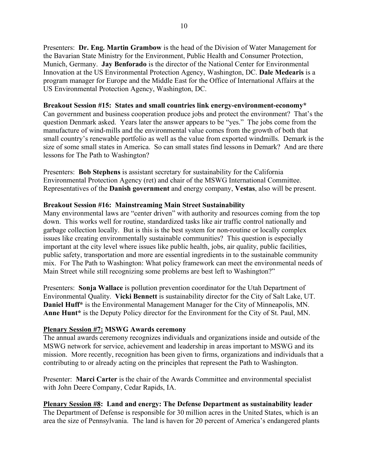Presenters: **Dr. Eng. Martin Grambow** is the head of the Division of Water Management for the Bavarian State Ministry for the Environment, Public Health and Consumer Protection, Munich, Germany. **Jay Benforado** is the director of the National Center for Environmental Innovation at the US Environmental Protection Agency, Washington, DC. **Dale Medearis** is a program manager for Europe and the Middle East for the Office of International Affairs at the US Environmental Protection Agency, Washington, DC.

## **Breakout Session #15: States and small countries link energy-environment-economy\***

Can government and business cooperation produce jobs and protect the environment? That's the question Denmark asked. Years later the answer appears to be "yes." The jobs come from the manufacture of wind-mills and the environmental value comes from the growth of both that small country's renewable portfolio as well as the value from exported windmills. Demark is the size of some small states in America. So can small states find lessons in Demark? And are there lessons for The Path to Washington?

Presenters: **Bob Stephens** is assistant secretary for sustainability for the California Environmental Protection Agency (ret) and chair of the MSWG International Committee. Representatives of the **Danish government** and energy company, **Vestas**, also will be present.

## **Breakout Session #16: Mainstreaming Main Street Sustainability**

Many environmental laws are "center driven" with authority and resources coming from the top down. This works well for routine, standardized tasks like air traffic control nationally and garbage collection locally. But is this is the best system for non-routine or locally complex issues like creating environmentally sustainable communities? This question is especially important at the city level where issues like public health, jobs, air quality, public facilities, public safety, transportation and more are essential ingredients in to the sustainable community mix. For The Path to Washington: What policy framework can meet the environmental needs of Main Street while still recognizing some problems are best left to Washington?"

Presenters: **Sonja Wallace** is pollution prevention coordinator for the Utah Department of Environmental Quality. **Vicki Bennett** is sustainability director for the City of Salt Lake, UT. **Daniel Huff\*** is the Environmental Management Manager for the City of Minneapolis, MN. **Anne Hunt\*** is the Deputy Policy director for the Environment for the City of St. Paul, MN.

### **Plenary Session #7: MSWG Awards ceremony**

The annual awards ceremony recognizes individuals and organizations inside and outside of the MSWG network for service, achievement and leadership in areas important to MSWG and its mission. More recently, recognition has been given to firms, organizations and individuals that a contributing to or already acting on the principles that represent the Path to Washington.

Presenter: **Marci Carter** is the chair of the Awards Committee and environmental specialist with John Deere Company, Cedar Rapids, IA.

**Plenary Session #8: Land and energy: The Defense Department as sustainability leader** The Department of Defense is responsible for 30 million acres in the United States, which is an area the size of Pennsylvania. The land is haven for 20 percent of America's endangered plants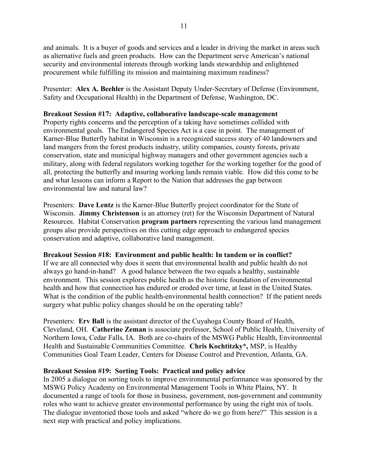and animals. It is a buyer of goods and services and a leader in driving the market in areas such as alternative fuels and green products. How can the Department serve American's national security and environmental interests through working lands stewardship and enlightened procurement while fulfilling its mission and maintaining maximum readiness?

Presenter: **Alex A. Beehler** is the Assistant Deputy Under-Secretary of Defense (Environment, Safety and Occupational Health) in the Department of Defense, Washington, DC.

## **Breakout Session #17: Adaptive, collaborative landscape-scale management**

Property rights concerns and the perception of a taking have sometimes collided with environmental goals. The Endangered Species Act is a case in point. The management of Karner-Blue Butterfly habitat in Wisconsin is a recognized success story of 40 landowners and land mangers from the forest products industry, utility companies, county forests, private conservation, state and municipal highway managers and other government agencies such a military, along with federal regulators working together for the working together for the good of all, protecting the butterfly and insuring working lands remain viable. How did this come to be and what lessons can inform a Report to the Nation that addresses the gap between environmental law and natural law?

Presenters: **Dave Lentz** is the Karner-Blue Butterfly project coordinator for the State of Wisconsin. **Jimmy Christenson** is an attorney (ret) for the Wisconsin Department of Natural Resources. Habitat Conservation **program partners** representing the various land management groups also provide perspectives on this cutting edge approach to endangered species conservation and adaptive, collaborative land management.

# **Breakout Session #18: Environment and public health: In tandem or in conflict?**

If we are all connected why does it seem that environmental health and public health do not always go hand-in-hand? A good balance between the two equals a healthy, sustainable environment. This session explores public health as the historic foundation of environmental health and how that connection has endured or eroded over time, at least in the United States. What is the condition of the public health-environmental health connection? If the patient needs surgery what public policy changes should be on the operating table?

Presenters: **Erv Ball** is the assistant director of the Cuyahoga County Board of Health, Cleveland, OH. **Catherine Zeman** is associate professor, School of Public Health, University of Northern Iowa, Cedar Falls, IA. Both are co-chairs of the MSWG Public Health, Environmental Health and Sustainable Communities Committee. **Chris Kochtitzky\*,** MSP, is Healthy Communities Goal Team Leader, Centers for Disease Control and Prevention, Atlanta, GA.

# **Breakout Session #19: Sorting Tools: Practical and policy advice**

In 2005 a dialogue on sorting tools to improve environmental performance was sponsored by the MSWG Policy Academy on Environmental Management Tools in White Plains, NY. It documented a range of tools for those in business, government, non-government and community roles who want to achieve greater environmental performance by using the right mix of tools. The dialogue inventoried those tools and asked "where do we go from here?" This session is a next step with practical and policy implications.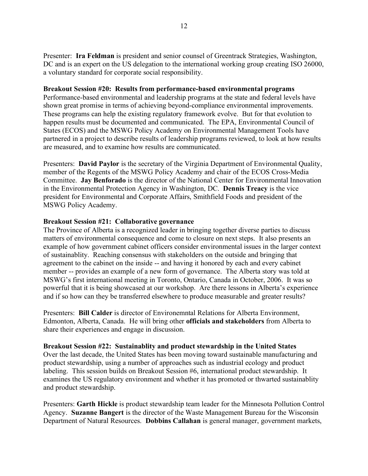Presenter: **Ira Feldman** is president and senior counsel of Greentrack Strategies, Washington, DC and is an expert on the US delegation to the international working group creating ISO 26000, a voluntary standard for corporate social responsibility.

#### **Breakout Session #20: Results from performance-based environmental programs**

Performance-based environmental and leadership programs at the state and federal levels have shown great promise in terms of achieving beyond-compliance environmental improvements. These programs can help the existing regulatory framework evolve. But for that evolution to happen results must be documented and communicated. The EPA, Environmental Council of States (ECOS) and the MSWG Policy Academy on Environmental Management Tools have partnered in a project to describe results of leadership programs reviewed, to look at how results are measured, and to examine how results are communicated.

Presenters: **David Paylor** is the secretary of the Virginia Department of Environmental Quality, member of the Regents of the MSWG Policy Academy and chair of the ECOS Cross-Media Committee. **Jay Benforado** is the director of the National Center for Environmental Innovation in the Environmental Protection Agency in Washington, DC. **Dennis Treacy** is the vice president for Environmental and Corporate Affairs, Smithfield Foods and president of the MSWG Policy Academy.

#### **Breakout Session #21: Collaborative governance**

The Province of Alberta is a recognized leader in bringing together diverse parties to discuss matters of environmental consequence and come to closure on next steps. It also presents an example of how government cabinet officers consider environmental issues in the larger context of sustainablity. Reaching consensus with stakeholders on the outside and bringing that agreement to the cabinet on the inside -- and having it honored by each and every cabinet member -- provides an example of a new form of governance. The Alberta story was told at MSWG's first international meeting in Toronto, Ontario, Canada in October, 2006. It was so powerful that it is being showcased at our workshop. Are there lessons in Alberta's experience and if so how can they be transferred elsewhere to produce measurable and greater results?

Presenters: **Bill Calder** is director of Environemntal Relations for Alberta Environment, Edmonton, Alberta, Canada. He will bring other **officials and stakeholders** from Alberta to share their experiences and engage in discussion.

#### **Breakout Session #22: Sustainablity and product stewardship in the United States**

Over the last decade, the United States has been moving toward sustainable manufacturing and product stewardship, using a number of approaches such as industrial ecology and product labeling. This session builds on Breakout Session #6, international product stewardship. It examines the US regulatory environment and whether it has promoted or thwarted sustainablity and product stewardship.

Presenters: **Garth Hickle** is product stewardship team leader for the Minnesota Pollution Control Agency. **Suzanne Bangert** is the director of the Waste Management Bureau for the Wisconsin Department of Natural Resources. **Dobbins Callahan** is general manager, government markets,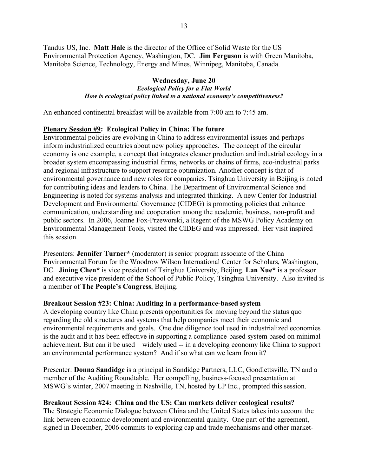Tandus US, Inc. **Matt Hale** is the director of the Office of Solid Waste for the US Environmental Protection Agency, Washington, DC. **Jim Ferguson** is with Green Manitoba, Manitoba Science, Technology, Energy and Mines, Winnipeg, Manitoba, Canada.

#### **Wednesday, June 20** *Ecological Policy for a Flat World How is ecological policy linked to a national economy's competitiveness?*

An enhanced continental breakfast will be available from 7:00 am to 7:45 am.

### **Plenary Session #9: Ecological Policy in China: The future**

Environmental policies are evolving in China to address environmental issues and perhaps inform industrialized countries about new policy approaches. The concept of the circular economy is one example, a concept that integrates cleaner production and industrial ecology in a broader system encompassing industrial firms, networks or chains of firms, eco-industrial parks and regional infrastructure to support resource optimization. Another concept is that of environmental governance and new roles for companies. Tsinghua University in Beijing is noted for contributing ideas and leaders to China. The Department of Environmental Science and Engineering is noted for systems analysis and integrated thinking. A new Center for Industrial Development and Environmental Governance (CIDEG) is promoting policies that enhance communication, understanding and cooperation among the academic, business, non-profit and public sectors. In 2006, Joanne Fox-Przeworski, a Regent of the MSWG Policy Academy on Environmental Management Tools, visited the CIDEG and was impressed. Her visit inspired this session.

Presenters: **Jennifer Turner\*** (moderator) is senior program associate of the China Environmental Forum for the Woodrow Wilson International Center for Scholars, Washington, DC. **Jining Chen\*** is vice president of Tsinghua University, Beijing. **Lan Xue\*** is a professor and executive vice president of the School of Public Policy, Tsinghua University. Also invited is a member of **The People's Congress**, Beijing.

### **Breakout Session #23: China: Auditing in a performance-based system**

A developing country like China presents opportunities for moving beyond the status quo regarding the old structures and systems that help companies meet their economic and environmental requirements and goals. One due diligence tool used in industrialized economies is the audit and it has been effective in supporting a compliance-based system based on minimal achievement. But can it be used – widely used -- in a developing economy like China to support an environmental performance system? And if so what can we learn from it?

Presenter: **Donna Sandidge** is a principal in Sandidge Partners, LLC, Goodlettsville, TN and a member of the Auditing Roundtable. Her compelling, business-focused presentation at MSWG's winter, 2007 meeting in Nashville, TN, hosted by LP Inc., prompted this session.

### **Breakout Session #24: China and the US: Can markets deliver ecological results?**

The Strategic Economic Dialogue between China and the United States takes into account the link between economic development and environmental quality. One part of the agreement, signed in December, 2006 commits to exploring cap and trade mechanisms and other market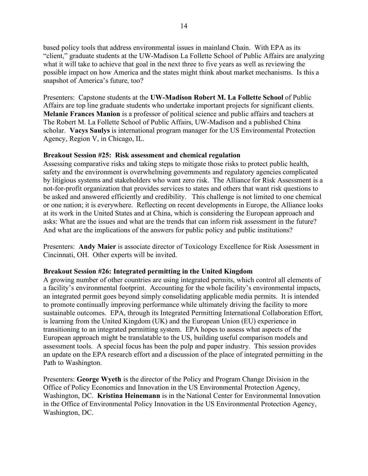based policy tools that address environmental issues in mainland Chain. With EPA as its "client," graduate students at the UW-Madison La Follette School of Public Affairs are analyzing what it will take to achieve that goal in the next three to five years as well as reviewing the possible impact on how America and the states might think about market mechanisms. Is this a snapshot of America's future, too?

Presenters: Capstone students at the **UW-Madison Robert M. La Follette School** of Public Affairs are top line graduate students who undertake important projects for significant clients. **Melanie Frances Manion** is a professor of political science and public affairs and teachers at The Robert M. La Follette School of Public Affairs, UW-Madison and a published China scholar. **Vacys Saulys** is international program manager for the US Environmental Protection Agency, Region V, in Chicago, IL.

## **Breakout Session #25: Risk assessment and chemical regulation**

Assessing comparative risks and taking steps to mitigate those risks to protect public health, safety and the environment is overwhelming governments and regulatory agencies complicated by litigious systems and stakeholders who want zero risk. The Alliance for Risk Assessment is a not-for-profit organization that provides services to states and others that want risk questions to be asked and answered efficiently and credibility. This challenge is not limited to one chemical or one nation; it is everywhere. Reflecting on recent developments in Europe, the Alliance looks at its work in the United States and at China, which is considering the European approach and asks: What are the issues and what are the trends that can inform risk assessment in the future? And what are the implications of the answers for public policy and public institutions?

Presenters: **Andy Maier** is associate director of Toxicology Excellence for Risk Assessment in Cincinnati, OH. Other experts will be invited.

# **Breakout Session #26: Integrated permitting in the United Kingdom**

A growing number of other countries are using integrated permits, which control all elements of a facility's environmental footprint. Accounting for the whole facility's environmental impacts, an integrated permit goes beyond simply consolidating applicable media permits. It is intended to promote continually improving performance while ultimately driving the facility to more sustainable outcomes. EPA, through its Integrated Permitting International Collaboration Effort, is learning from the United Kingdom (UK) and the European Union (EU) experience in transitioning to an integrated permitting system. EPA hopes to assess what aspects of the European approach might be translatable to the US, building useful comparison models and assessment tools. A special focus has been the pulp and paper industry. This session provides an update on the EPA research effort and a discussion of the place of integrated permitting in the Path to Washington.

Presenters: **George Wyeth** is the director of the Policy and Program Change Division in the Office of Policy Economics and Innovation in the US Environmental Protection Agency, Washington, DC. **Kristina Heinemann** is in the National Center for Environmental Innovation in the Office of Environmental Policy Innovation in the US Environmental Protection Agency, Washington, DC.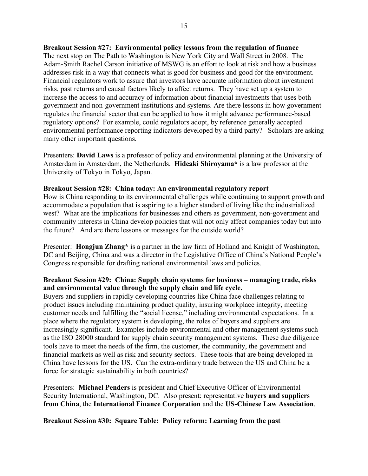**Breakout Session #27: Environmental policy lessons from the regulation of finance** The next stop on The Path to Washington is New York City and Wall Street in 2008. The Adam-Smith Rachel Carson initiative of MSWG is an effort to look at risk and how a business addresses risk in a way that connects what is good for business and good for the environment. Financial regulators work to assure that investors have accurate information about investment risks, past returns and causal factors likely to affect returns. They have set up a system to increase the access to and accuracy of information about financial investments that uses both government and non-government institutions and systems. Are there lessons in how government regulates the financial sector that can be applied to how it might advance performance-based regulatory options? For example, could regulators adopt, by reference generally accepted environmental performance reporting indicators developed by a third party? Scholars are asking many other important questions.

Presenters: **David Laws** is a professor of policy and environmental planning at the University of Amsterdam in Amsterdam, the Netherlands. **Hideaki Shiroyama\*** is a law professor at the University of Tokyo in Tokyo, Japan.

#### **Breakout Session #28: China today: An environmental regulatory report**

How is China responding to its environmental challenges while continuing to support growth and accommodate a population that is aspiring to a higher standard of living like the industrialized west? What are the implications for businesses and others as government, non-government and community interests in China develop policies that will not only affect companies today but into the future? And are there lessons or messages for the outside world?

Presenter: **Hongjun Zhang\*** is a partner in the law firm of Holland and Knight of Washington, DC and Beijing, China and was a director in the Legislative Office of China's National People's Congress responsible for drafting national environmental laws and policies.

### **Breakout Session #29: China: Supply chain systems for business – managing trade, risks and environmental value through the supply chain and life cycle.**

Buyers and suppliers in rapidly developing countries like China face challenges relating to product issues including maintaining product quality, insuring workplace integrity, meeting customer needs and fulfilling the "social license," including environmental expectations. In a place where the regulatory system is developing, the roles of buyers and suppliers are increasingly significant. Examples include environmental and other management systems such as the ISO 28000 standard for supply chain security management systems. These due diligence tools have to meet the needs of the firm, the customer, the community, the government and financial markets as well as risk and security sectors. These tools that are being developed in China have lessons for the US. Can the extra-ordinary trade between the US and China be a force for strategic sustainability in both countries?

Presenters: **Michael Penders** is president and Chief Executive Officer of Environmental Security International, Washington, DC. Also present: representative **buyers and suppliers from China**, the **International Finance Corporation** and the **US-Chinese Law Association**.

**Breakout Session #30: Square Table: Policy reform: Learning from the past**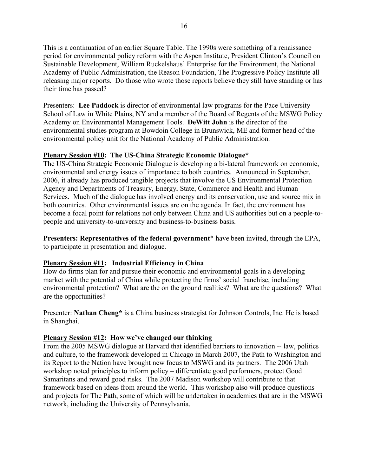This is a continuation of an earlier Square Table. The 1990s were something of a renaissance period for environmental policy reform with the Aspen Institute, President Clinton's Council on Sustainable Development, William Ruckelshaus' Enterprise for the Environment, the National Academy of Public Administration, the Reason Foundation, The Progressive Policy Institute all releasing major reports. Do those who wrote those reports believe they still have standing or has their time has passed?

Presenters: **Lee Paddock** is director of environmental law programs for the Pace University School of Law in White Plains, NY and a member of the Board of Regents of the MSWG Policy Academy on Environmental Management Tools. **DeWitt John** is the director of the environmental studies program at Bowdoin College in Brunswick, ME and former head of the environmental policy unit for the National Academy of Public Administration.

## **Plenary Session #10: The US-China Strategic Economic Dialogue\***

The US-China Strategic Economic Dialogue is developing a bi-lateral framework on economic, environmental and energy issues of importance to both countries. Announced in September, 2006, it already has produced tangible projects that involve the US Environmental Protection Agency and Departments of Treasury, Energy, State, Commerce and Health and Human Services. Much of the dialogue has involved energy and its conservation, use and source mix in both countries. Other environmental issues are on the agenda. In fact, the environment has become a focal point for relations not only between China and US authorities but on a people-topeople and university-to-university and business-to-business basis.

**Presenters: Representatives of the federal government**\* have been invited, through the EPA, to participate in presentation and dialogue.

# **Plenary Session #11: Industrial Efficiency in China**

How do firms plan for and pursue their economic and environmental goals in a developing market with the potential of China while protecting the firms' social franchise, including environmental protection? What are the on the ground realities? What are the questions? What are the opportunities?

Presenter: **Nathan Cheng\*** is a China business strategist for Johnson Controls, Inc. He is based in Shanghai.

### **Plenary Session #12: How we've changed our thinking**

From the 2005 MSWG dialogue at Harvard that identified barriers to innovation -- law, politics and culture, to the framework developed in Chicago in March 2007, the Path to Washington and its Report to the Nation have brought new focus to MSWG and its partners. The 2006 Utah workshop noted principles to inform policy – differentiate good performers, protect Good Samaritans and reward good risks. The 2007 Madison workshop will contribute to that framework based on ideas from around the world. This workshop also will produce questions and projects for The Path, some of which will be undertaken in academies that are in the MSWG network, including the University of Pennsylvania.